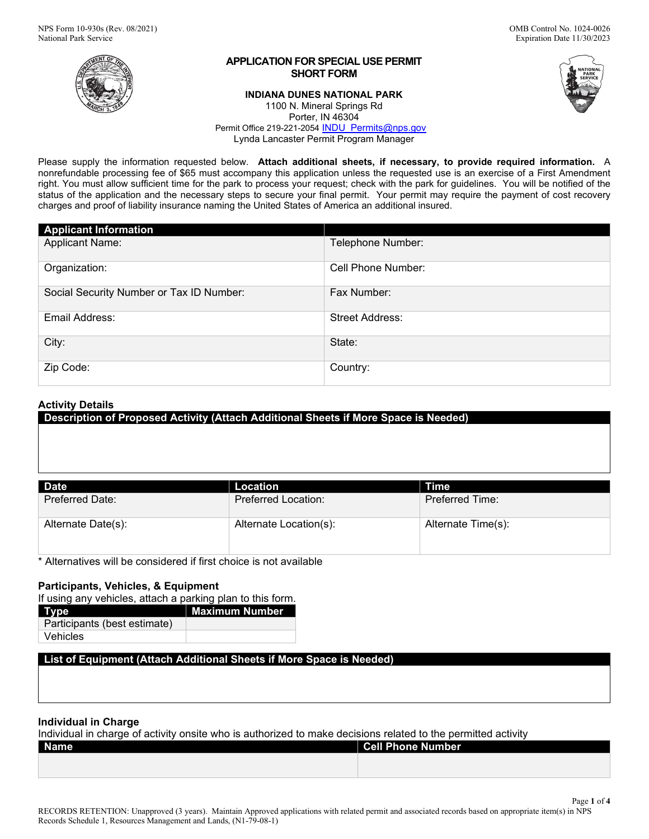

# **APPLICATION FOR SPECIAL USE PERMIT SHORT FORM**

## **INDIANA DUNES NATIONAL PARK**



Page **1** of **4**

1100 N. Mineral Springs Rd Porter, IN 46304 Permit Office 219-221-2054 [INDU\\_Permits@nps.gov](mailto:INDU_Permits@nps.gov) Lynda Lancaster Permit Program Manager

Please supply the information requested below. **Attach additional sheets, if necessary, to provide required information.** A nonrefundable processing fee of \$65 must accompany this application unless the requested use is an exercise of a First Amendment right. You must allow sufficient time for the park to process your request; check with the park for guidelines. You will be notified of the status of the application and the necessary steps to secure your final permit. Your permit may require the payment of cost recovery charges and proof of liability insurance naming the United States of America an additional insured.

| <b>Applicant Information</b>             |                        |
|------------------------------------------|------------------------|
| <b>Applicant Name:</b>                   | Telephone Number:      |
| Organization:                            | Cell Phone Number:     |
| Social Security Number or Tax ID Number: | Fax Number:            |
| Email Address:                           | <b>Street Address:</b> |
| City:                                    | State:                 |
| Zip Code:                                | Country:               |

# **Activity Details**

| - -                | .                      | . .                |
|--------------------|------------------------|--------------------|
|                    |                        |                    |
| <b>Date</b>        | <b>Location</b>        | <b>Time</b>        |
| Preferred Date:    | Preferred Location:    | Preferred Time:    |
| Alternate Date(s): | Alternate Location(s): | Alternate Time(s): |

**Description of Proposed Activity (Attach Additional Sheets if More Space is Needed)**

\* Alternatives will be considered if first choice is not available

# **Participants, Vehicles, & Equipment**

If using any vehicles, attach a parking plan to this form.

| Type                         | <b>Maximum Number</b> |
|------------------------------|-----------------------|
| Participants (best estimate) |                       |
| Vehicles                     |                       |

**List of Equipment (Attach Additional Sheets if More Space is Needed)**

# **Individual in Charge**

Individual in charge of activity onsite who is authorized to make decisions related to the permitted activity

| Name | <b>Cell Phone Number</b> |
|------|--------------------------|
|      |                          |
|      |                          |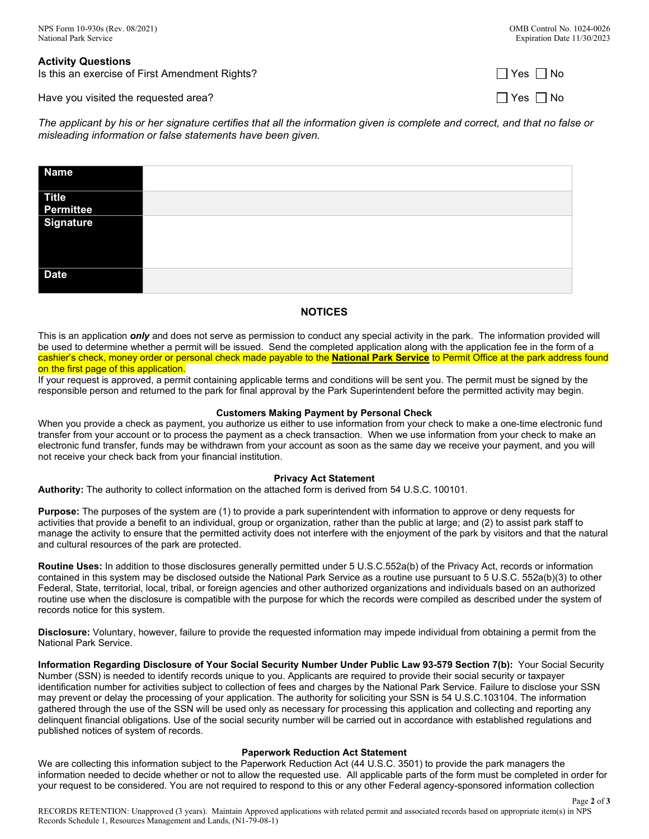| <b>Activity Questions</b>                      |                      |
|------------------------------------------------|----------------------|
| Is this an exercise of First Amendment Rights? | $\Box$ Yes $\Box$ No |
| Have you visited the requested area?           | $\Box$ Yes $\Box$ No |

*The applicant by his or her signature certifies that all the information given is complete and correct, and that no false or misleading information or false statements have been given.*

| <b>Name</b>  |  |
|--------------|--|
| <b>Title</b> |  |
| Permittee    |  |
| Signature    |  |
| <b>Date</b>  |  |

# **NOTICES**

This is an application *only* and does not serve as permission to conduct any special activity in the park. The information provided will be used to determine whether a permit will be issued. Send the completed application along with the application fee in the form of a cashier's check, money order or personal check made payable to the **National Park Service** to Permit Office at the park address found on the first page of this application.

If your request is approved, a permit containing applicable terms and conditions will be sent you. The permit must be signed by the responsible person and returned to the park for final approval by the Park Superintendent before the permitted activity may begin.

## **Customers Making Payment by Personal Check**

When you provide a check as payment, you authorize us either to use information from your check to make a one-time electronic fund transfer from your account or to process the payment as a check transaction. When we use information from your check to make an electronic fund transfer, funds may be withdrawn from your account as soon as the same day we receive your payment, and you will not receive your check back from your financial institution.

## **Privacy Act Statement**

**Authority:** The authority to collect information on the attached form is derived from 54 U.S.C. 100101.

**Purpose:** The purposes of the system are (1) to provide a park superintendent with information to approve or deny requests for activities that provide a benefit to an individual, group or organization, rather than the public at large; and (2) to assist park staff to manage the activity to ensure that the permitted activity does not interfere with the enjoyment of the park by visitors and that the natural and cultural resources of the park are protected.

**Routine Uses:** In addition to those disclosures generally permitted under 5 U.S.C.552a(b) of the Privacy Act, records or information contained in this system may be disclosed outside the National Park Service as a routine use pursuant to 5 U.S.C. 552a(b)(3) to other Federal, State, territorial, local, tribal, or foreign agencies and other authorized organizations and individuals based on an authorized routine use when the disclosure is compatible with the purpose for which the records were compiled as described under the system of records notice for this system.

**Disclosure:** Voluntary, however, failure to provide the requested information may impede individual from obtaining a permit from the National Park Service.

**Information Regarding Disclosure of Your Social Security Number Under Public Law 93-579 Section 7(b):** Your Social Security Number (SSN) is needed to identify records unique to you. Applicants are required to provide their social security or taxpayer identification number for activities subject to collection of fees and charges by the National Park Service. Failure to disclose your SSN may prevent or delay the processing of your application. The authority for soliciting your SSN is 54 U.S.C.103104. The information gathered through the use of the SSN will be used only as necessary for processing this application and collecting and reporting any delinquent financial obligations. Use of the social security number will be carried out in accordance with established regulations and published notices of system of records.

## **Paperwork Reduction Act Statement**

We are collecting this information subject to the Paperwork Reduction Act (44 U.S.C. 3501) to provide the park managers the information needed to decide whether or not to allow the requested use. All applicable parts of the form must be completed in order for your request to be considered. You are not required to respond to this or any other Federal agency-sponsored information collection